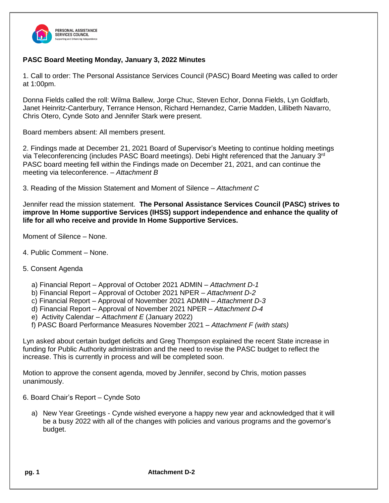

## **PASC Board Meeting Monday, January 3, 2022 Minutes**

1. Call to order: The Personal Assistance Services Council (PASC) Board Meeting was called to order at 1:00pm.

Donna Fields called the roll: Wilma Ballew, Jorge Chuc, Steven Echor, Donna Fields, Lyn Goldfarb, Janet Heinritz-Canterbury, Terrance Henson, Richard Hernandez, Carrie Madden, Lillibeth Navarro, Chris Otero, Cynde Soto and Jennifer Stark were present.

Board members absent: All members present.

2. Findings made at December 21, 2021 Board of Supervisor's Meeting to continue holding meetings via Teleconferencing (includes PASC Board meetings). Debi Hight referenced that the January 3<sup>rd</sup> PASC board meeting fell within the Findings made on December 21, 2021, and can continue the meeting via teleconference. *– Attachment B*

3. Reading of the Mission Statement and Moment of Silence – *Attachment C*

Jennifer read the mission statement. **The Personal Assistance Services Council (PASC) strives to improve In Home supportive Services (IHSS) support independence and enhance the quality of life for all who receive and provide In Home Supportive Services.**

Moment of Silence – None.

- 4. Public Comment None.
- 5. Consent Agenda
	- a) Financial Report Approval of October 2021 ADMIN *Attachment D-1*
	- b) Financial Report Approval of October 2021 NPER *Attachment D-2*
	- c) Financial Report Approval of November 2021 ADMIN *Attachment D-3*
	- d) Financial Report Approval of November 2021 NPER *Attachment D-4*
	- e) Activity Calendar *Attachment E* (January 2022)
	- f) PASC Board Performance Measures November 2021 *– Attachment F (with stats)*

Lyn asked about certain budget deficits and Greg Thompson explained the recent State increase in funding for Public Authority administration and the need to revise the PASC budget to reflect the increase. This is currently in process and will be completed soon.

Motion to approve the consent agenda, moved by Jennifer, second by Chris, motion passes unanimously.

- 6. Board Chair's Report Cynde Soto
	- a) New Year Greetings Cynde wished everyone a happy new year and acknowledged that it will be a busy 2022 with all of the changes with policies and various programs and the governor's budget.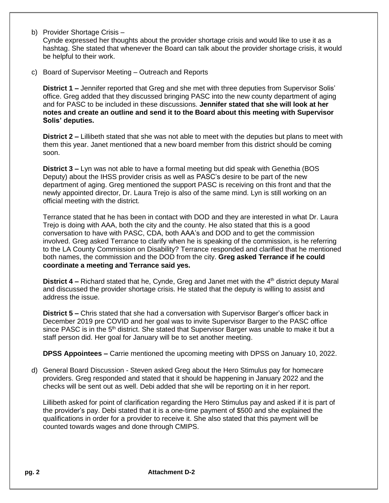- b) Provider Shortage Crisis Cynde expressed her thoughts about the provider shortage crisis and would like to use it as a hashtag. She stated that whenever the Board can talk about the provider shortage crisis, it would be helpful to their work.
- c) Board of Supervisor Meeting Outreach and Reports

**District 1 –** Jennifer reported that Greg and she met with three deputies from Supervisor Solis' office. Greg added that they discussed bringing PASC into the new county department of aging and for PASC to be included in these discussions. **Jennifer stated that she will look at her notes and create an outline and send it to the Board about this meeting with Supervisor Solis' deputies.**

**District 2 –** Lillibeth stated that she was not able to meet with the deputies but plans to meet with them this year. Janet mentioned that a new board member from this district should be coming soon.

**District 3 –** Lyn was not able to have a formal meeting but did speak with Genethia (BOS Deputy) about the IHSS provider crisis as well as PASC's desire to be part of the new department of aging. Greg mentioned the support PASC is receiving on this front and that the newly appointed director, Dr. Laura Trejo is also of the same mind. Lyn is still working on an official meeting with the district.

Terrance stated that he has been in contact with DOD and they are interested in what Dr. Laura Trejo is doing with AAA, both the city and the county. He also stated that this is a good conversation to have with PASC, CDA, both AAA's and DOD and to get the commission involved. Greg asked Terrance to clarify when he is speaking of the commission, is he referring to the LA County Commission on Disability? Terrance responded and clarified that he mentioned both names, the commission and the DOD from the city. **Greg asked Terrance if he could coordinate a meeting and Terrance said yes.**

**District 4 –** Richard stated that he, Cynde, Greg and Janet met with the 4<sup>th</sup> district deputy Maral and discussed the provider shortage crisis. He stated that the deputy is willing to assist and address the issue.

**District 5 –** Chris stated that she had a conversation with Supervisor Barger's officer back in December 2019 pre COVID and her goal was to invite Supervisor Barger to the PASC office since PASC is in the 5<sup>th</sup> district. She stated that Supervisor Barger was unable to make it but a staff person did. Her goal for January will be to set another meeting.

**DPSS Appointees –** Carrie mentioned the upcoming meeting with DPSS on January 10, 2022.

d) General Board Discussion - Steven asked Greg about the Hero Stimulus pay for homecare providers. Greg responded and stated that it should be happening in January 2022 and the checks will be sent out as well. Debi added that she will be reporting on it in her report.

Lillibeth asked for point of clarification regarding the Hero Stimulus pay and asked if it is part of the provider's pay. Debi stated that it is a one-time payment of \$500 and she explained the qualifications in order for a provider to receive it. She also stated that this payment will be counted towards wages and done through CMIPS.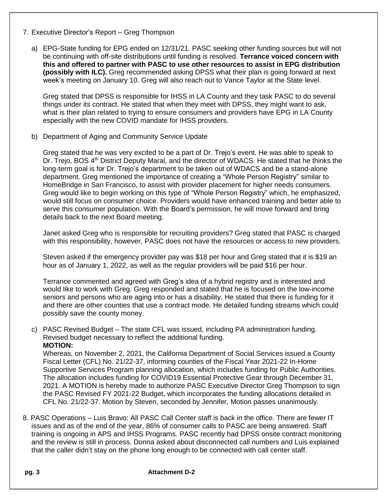- 7. Executive Director's Report Greg Thompson
	- a) EPG-State funding for EPG ended on 12/31/21. PASC seeking other funding sources but will not be continuing with off-site distributions until funding is resolved. **Terrance voiced concern with this and offered to partner with PASC to use other resources to assist in EPG distribution (possibly with ILC).** Greg recommended asking DPSS what their plan is going forward at next week's meeting on January 10. Greg will also reach out to Vance Taylor at the State level.

Greg stated that DPSS is responsible for IHSS in LA County and they task PASC to do several things under its contract. He stated that when they meet with DPSS, they might want to ask, what is their plan related to trying to ensure consumers and providers have EPG in LA County especially with the new COVID mandate for IHSS providers.

b) Department of Aging and Community Service Update

Greg stated that he was very excited to be a part of Dr. Trejo's event. He was able to speak to Dr. Trejo, BOS 4<sup>th</sup> District Deputy Maral, and the director of WDACS. He stated that he thinks the long-term goal is for Dr. Trejo's department to be taken out of WDACS and be a stand-alone department. Greg mentioned the importance of creating a "Whole Person Registry" similar to HomeBridge in San Francisco, to assist with provider placement for higher needs consumers. Greg would like to begin working on this type of "Whole Person Registry" which, he emphasized, would still focus on consumer choice. Providers would have enhanced training and better able to serve this consumer population. With the Board's permission, he will move forward and bring details back to the next Board meeting.

Janet asked Greg who is responsible for recruiting providers? Greg stated that PASC is charged with this responsibility, however, PASC does not have the resources or access to new providers.

Steven asked if the emergency provider pay was \$18 per hour and Greg stated that it is \$19 an hour as of January 1, 2022, as well as the regular providers will be paid \$16 per hour.

Terrance commented and agreed with Greg's idea of a hybrid registry and is interested and would like to work with Greg. Greg responded and stated that he is focused on the low-income seniors and persons who are aging into or has a disability. He stated that there is funding for it and there are other counties that use a contract mode. He detailed funding streams which could possibly save the county money.

c) PASC Revised Budget *–* The state CFL was issued, including PA administration funding. Revised budget necessary to reflect the additional funding. **MOTION:**

Whereas, on November 2, 2021, the California Department of Social Services issued a County Fiscal Letter (CFL) No. 21/22-37, informing counties of the Fiscal Year 2021-22 In-Home Supportive Services Program planning allocation, which includes funding for Public Authorities. The allocation includes funding for COVID19 Essential Protective Gear through December 31, 2021. A MOTION is hereby made to authorize PASC Executive Director Greg Thompson to sign the PASC Revised FY 2021-22 Budget, which incorporates the funding allocations detailed in CFL No. 21/22-37. Motion by Steven, seconded by Jennifer, Motion passes unanimously.

8. PASC Operations – Luis Bravo: All PASC Call Center staff is back in the office. There are fewer IT issues and as of the end of the year, 86% of consumer calls to PASC are being answered. Staff training is ongoing in APS and IHSS Programs. PASC recently had DPSS onsite contract monitoring and the review is still in process. Donna asked about disconnected call numbers and Luis explained that the caller didn't stay on the phone long enough to be connected with call center staff.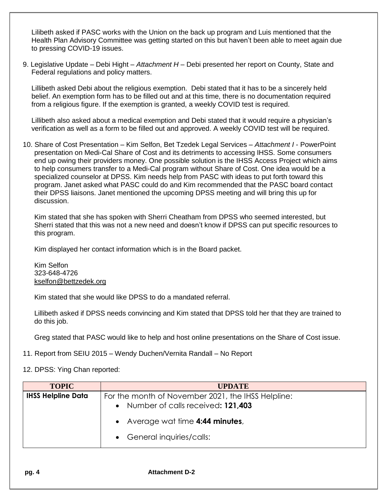Lilibeth asked if PASC works with the Union on the back up program and Luis mentioned that the Health Plan Advisory Committee was getting started on this but haven't been able to meet again due to pressing COVID-19 issues.

9. Legislative Update – Debi Hight *– Attachment H –* Debi presented her report on County, State and Federal regulations and policy matters.

Lillibeth asked Debi about the religious exemption. Debi stated that it has to be a sincerely held belief. An exemption form has to be filled out and at this time, there is no documentation required from a religious figure. If the exemption is granted, a weekly COVID test is required.

Lillibeth also asked about a medical exemption and Debi stated that it would require a physician's verification as well as a form to be filled out and approved. A weekly COVID test will be required.

10. Share of Cost Presentation – Kim Selfon, Bet Tzedek Legal Services *– Attachment I* - PowerPoint presentation on Medi-Cal Share of Cost and its detriments to accessing IHSS. Some consumers end up owing their providers money. One possible solution is the IHSS Access Project which aims to help consumers transfer to a Medi-Cal program without Share of Cost. One idea would be a specialized counselor at DPSS. Kim needs help from PASC with ideas to put forth toward this program. Janet asked what PASC could do and Kim recommended that the PASC board contact their DPSS liaisons. Janet mentioned the upcoming DPSS meeting and will bring this up for discussion.

Kim stated that she has spoken with Sherri Cheatham from DPSS who seemed interested, but Sherri stated that this was not a new need and doesn't know if DPSS can put specific resources to this program.

Kim displayed her contact information which is in the Board packet.

Kim Selfon 323-648-4726 [kselfon@bettzedek.org](mailto:kselfon@bettzedek.org)

Kim stated that she would like DPSS to do a mandated referral.

Lillibeth asked if DPSS needs convincing and Kim stated that DPSS told her that they are trained to do this job.

Greg stated that PASC would like to help and host online presentations on the Share of Cost issue.

11. Report from SEIU 2015 – Wendy Duchen/Vernita Randall – No Report

12. DPSS: Ying Chan reported:

| <b>TOPIC</b>              | <b>UPDATE</b>                                                                                        |
|---------------------------|------------------------------------------------------------------------------------------------------|
| <b>IHSS Helpline Data</b> | For the month of November 2021, the IHSS Helpline:<br>Number of calls received: 121,403<br>$\bullet$ |
|                           | Average wat time 4:44 minutes,<br>• General inquiries/calls:                                         |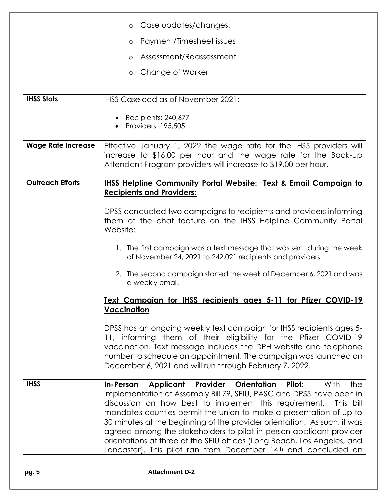|                           | Case updates/changes.<br>$\circ$                                                                                                                                                                                                                                                                                                                                                                                                                                                                                                                                                             |
|---------------------------|----------------------------------------------------------------------------------------------------------------------------------------------------------------------------------------------------------------------------------------------------------------------------------------------------------------------------------------------------------------------------------------------------------------------------------------------------------------------------------------------------------------------------------------------------------------------------------------------|
|                           | Payment/Timesheet issues<br>$\circ$                                                                                                                                                                                                                                                                                                                                                                                                                                                                                                                                                          |
|                           | Assessment/Reassessment<br>$\circ$                                                                                                                                                                                                                                                                                                                                                                                                                                                                                                                                                           |
|                           | Change of Worker<br>$\circ$                                                                                                                                                                                                                                                                                                                                                                                                                                                                                                                                                                  |
|                           |                                                                                                                                                                                                                                                                                                                                                                                                                                                                                                                                                                                              |
| <b>IHSS Stats</b>         | IHSS Caseload as of November 2021:                                                                                                                                                                                                                                                                                                                                                                                                                                                                                                                                                           |
|                           | Recipients: 240,677<br>Providers: 195,505                                                                                                                                                                                                                                                                                                                                                                                                                                                                                                                                                    |
| <b>Wage Rate Increase</b> | Effective January 1, 2022 the wage rate for the IHSS providers will<br>increase to \$16.00 per hour and the wage rate for the Back-Up<br>Attendant Program providers will increase to \$19.00 per hour.                                                                                                                                                                                                                                                                                                                                                                                      |
| <b>Outreach Efforts</b>   | <b>IHSS Helpline Community Portal Website: Text &amp; Email Campaign to</b><br><b>Recipients and Providers:</b>                                                                                                                                                                                                                                                                                                                                                                                                                                                                              |
|                           | DPSS conducted two campaigns to recipients and providers informing<br>them of the chat feature on the IHSS Helpline Community Portal<br>Website:                                                                                                                                                                                                                                                                                                                                                                                                                                             |
|                           | 1. The first campaign was a text message that was sent during the week<br>of November 24, 2021 to 242,021 recipients and providers.                                                                                                                                                                                                                                                                                                                                                                                                                                                          |
|                           | 2. The second campaign started the week of December 6, 2021 and was<br>a weekly email.                                                                                                                                                                                                                                                                                                                                                                                                                                                                                                       |
|                           | Text Campaign for IHSS recipients ages 5-11 for Pfizer COVID-19<br><b>Vaccination</b>                                                                                                                                                                                                                                                                                                                                                                                                                                                                                                        |
|                           | DPSS has an ongoing weekly text campaign for IHSS recipients ages 5-<br>11, informing them of their eligibility for the Pfizer COVID-19<br>vaccination. Text message includes the DPH website and telephone<br>number to schedule an appointment. The campaign was launched on<br>December 6, 2021 and will run through February 7, 2022.                                                                                                                                                                                                                                                    |
| <b>IHSS</b>               | In-Person Applicant Provider<br><b>Orientation</b><br>Pilot:<br>With<br>the<br>implementation of Assembly Bill 79, SEIU, PASC and DPSS have been in<br>discussion on how best to implement this requirement. This bill<br>mandates counties permit the union to make a presentation of up to<br>30 minutes at the beginning of the provider orientation. As such, it was<br>agreed among the stakeholders to pilot in-person applicant provider<br>orientations at three of the SEIU offices (Long Beach, Los Angeles, and<br>Lancaster). This pilot ran from December 14th and concluded on |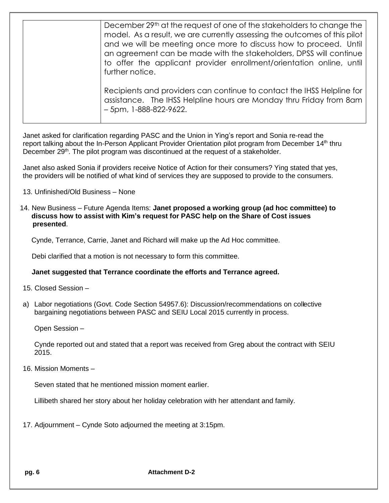| December 29th at the request of one of the stakeholders to change the<br>model. As a result, we are currently assessing the outcomes of this pilot<br>and we will be meeting once more to discuss how to proceed. Until<br>an agreement can be made with the stakeholders, DPSS will continue<br>to offer the applicant provider enrollment/orientation online, until<br>further notice. |
|------------------------------------------------------------------------------------------------------------------------------------------------------------------------------------------------------------------------------------------------------------------------------------------------------------------------------------------------------------------------------------------|
| Recipients and providers can continue to contact the IHSS Helpline for<br>assistance. The IHSS Helpline hours are Monday thru Friday from 8am<br>$-5$ pm, 1-888-822-9622.                                                                                                                                                                                                                |

Janet asked for clarification regarding PASC and the Union in Ying's report and Sonia re-read the report talking about the In-Person Applicant Provider Orientation pilot program from December 14<sup>th</sup> thru December 29<sup>th</sup>. The pilot program was discontinued at the request of a stakeholder.

Janet also asked Sonia if providers receive Notice of Action for their consumers? Ying stated that yes, the providers will be notified of what kind of services they are supposed to provide to the consumers.

- 13. Unfinished/Old Business None
- 14. New Business Future Agenda Items: **Janet proposed a working group (ad hoc committee) to discuss how to assist with Kim's request for PASC help on the Share of Cost issues presented**.

Cynde, Terrance, Carrie, Janet and Richard will make up the Ad Hoc committee.

Debi clarified that a motion is not necessary to form this committee.

## **Janet suggested that Terrance coordinate the efforts and Terrance agreed.**

- 15. Closed Session –
- a) Labor negotiations (Govt. Code Section 54957.6): Discussion/recommendations on collective bargaining negotiations between PASC and SEIU Local 2015 currently in process.

Open Session –

Cynde reported out and stated that a report was received from Greg about the contract with SEIU 2015.

16. Mission Moments –

Seven stated that he mentioned mission moment earlier.

Lillibeth shared her story about her holiday celebration with her attendant and family.

17. Adjournment – Cynde Soto adjourned the meeting at 3:15pm.